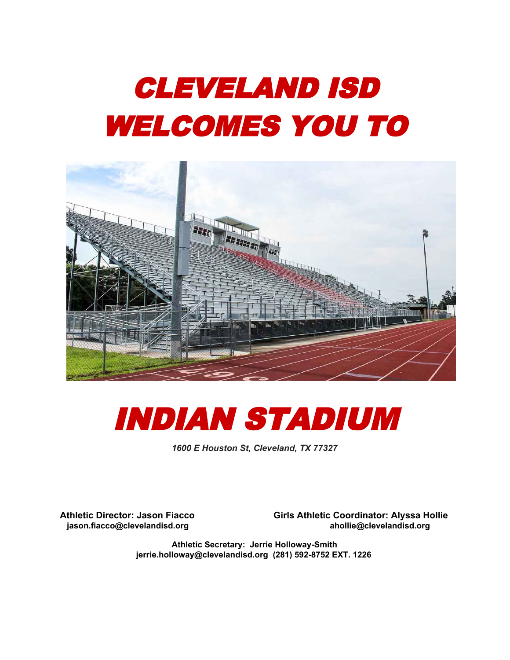# CLEVELAND ISD WELCOMES YOU TO





*1600 E Houston St, Cleveland, TX 77327*

**Athletic Director: Jason Fiacco Girls Athletic Coordinator: Alyssa Hollie jason.fiacco@clevelandisd.org ahollie@clevelandisd.org**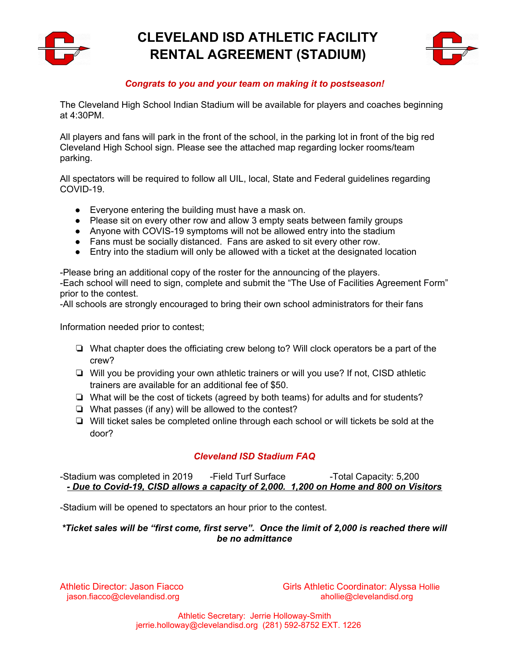

# **CLEVELAND ISD ATHLETIC FACILITY RENTAL AGREEMENT (STADIUM)**



### *Congrats to you and your team on making it to postseason!*

The Cleveland High School Indian Stadium will be available for players and coaches beginning at 4:30PM.

All players and fans will park in the front of the school, in the parking lot in front of the big red Cleveland High School sign. Please see the attached map regarding locker rooms/team parking.

All spectators will be required to follow all UIL, local, State and Federal guidelines regarding COVID-19.

- Everyone entering the building must have a mask on.
- Please sit on every other row and allow 3 empty seats between family groups
- Anyone with COVIS-19 symptoms will not be allowed entry into the stadium
- Fans must be socially distanced. Fans are asked to sit every other row.
- Entry into the stadium will only be allowed with a ticket at the designated location

-Please bring an additional copy of the roster for the announcing of the players. -Each school will need to sign, complete and submit the "The Use of Facilities Agreement Form" prior to the contest.

-All schools are strongly encouraged to bring their own school administrators for their fans

Information needed prior to contest;

- ❏ What chapter does the officiating crew belong to? Will clock operators be a part of the crew?
- ❏ Will you be providing your own athletic trainers or will you use? If not, CISD athletic trainers are available for an additional fee of \$50.
- ❏ What will be the cost of tickets (agreed by both teams) for adults and for students?
- ❏ What passes (if any) will be allowed to the contest?
- ❏ Will ticket sales be completed online through each school or will tickets be sold at the door?

# *Cleveland ISD Stadium FAQ*

-Stadium was completed in 2019 - Field Turf Surface -Total Capacity: 5,200 *- Due to Covid-19, CISD allows a capacity of 2,000. 1,200 on Home and 800 on Visitors*

-Stadium will be opened to spectators an hour prior to the contest.

#### *\*Ticket sales will be "first come, first serve". Once the limit of 2,000 is reached there will be no admittance*

Athletic Director: Jason Fiacco Girls Athletic Coordinator: Alyssa Hollie jason.fiacco@clevelandisd.org ahollie@clevelandisd.org ahollie@clevelandisd.org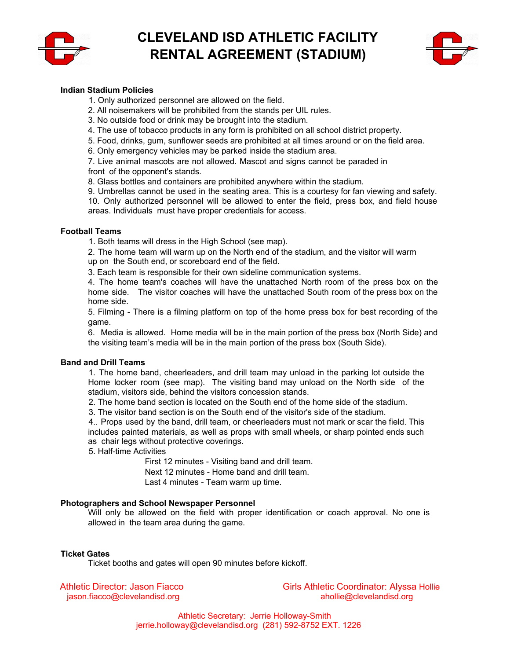

# **CLEVELAND ISD ATHLETIC FACILITY RENTAL AGREEMENT (STADIUM)**



#### **Indian Stadium Policies**

- 1. Only authorized personnel are allowed on the field.
- 2. All noisemakers will be prohibited from the stands per UIL rules.
- 3. No outside food or drink may be brought into the stadium.
- 4. The use of tobacco products in any form is prohibited on all school district property.
- 5. Food, drinks, gum, sunflower seeds are prohibited at all times around or on the field area.
- 6. Only emergency vehicles may be parked inside the stadium area.

7. Live animal mascots are not allowed. Mascot and signs cannot be paraded in front of the opponent's stands.

8. Glass bottles and containers are prohibited anywhere within the stadium.

9. Umbrellas cannot be used in the seating area. This is a courtesy for fan viewing and safety. 10. Only authorized personnel will be allowed to enter the field, press box, and field house areas. Individuals must have proper credentials for access.

#### **Football Teams**

1. Both teams will dress in the High School (see map).

2. The home team will warm up on the North end of the stadium, and the visitor will warm up on the South end, or scoreboard end of the field.

3. Each team is responsible for their own sideline communication systems.

4. The home team's coaches will have the unattached North room of the press box on the home side. The visitor coaches will have the unattached South room of the press box on the home side.

5. Filming - There is a filming platform on top of the home press box for best recording of the game.

6. Media is allowed. Home media will be in the main portion of the press box (North Side) and the visiting team's media will be in the main portion of the press box (South Side).

#### **Band and Drill Teams**

1. The home band, cheerleaders, and drill team may unload in the parking lot outside the Home locker room (see map). The visiting band may unload on the North side of the stadium, visitors side, behind the visitors concession stands.

2. The home band section is located on the South end of the home side of the stadium.

3. The visitor band section is on the South end of the visitor's side of the stadium.

4.. Props used by the band, drill team, or cheerleaders must not mark or scar the field. This includes painted materials, as well as props with small wheels, or sharp pointed ends such as chair legs without protective coverings.

5. Half-time Activities

First 12 minutes - Visiting band and drill team. Next 12 minutes - Home band and drill team. Last 4 minutes - Team warm up time.

#### **Photographers and School Newspaper Personnel**

Will only be allowed on the field with proper identification or coach approval. No one is allowed in the team area during the game.

#### **Ticket Gates**

Ticket booths and gates will open 90 minutes before kickoff.

Athletic Director: Jason Fiacco Girls Athletic Coordinator: Alyssa Hollie jason.fiacco@clevelandisd.org ahollie@clevelandisd.org ahollie@clevelandisd.org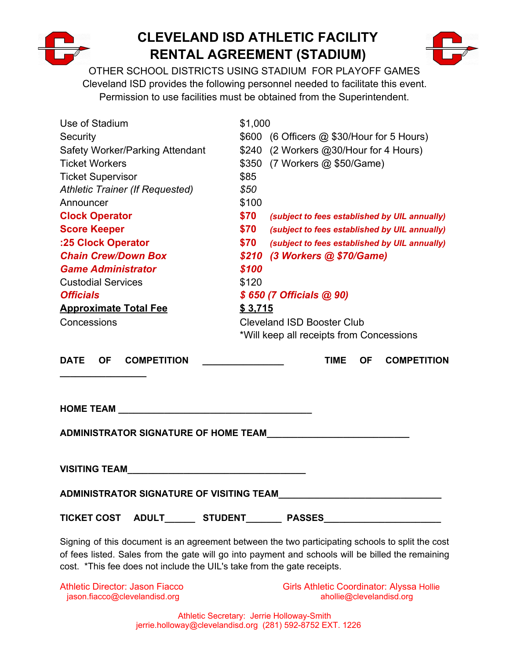

# **CLEVELAND ISD ATHLETIC FACILITY RENTAL AGREEMENT (STADIUM)**



OTHER SCHOOL DISTRICTS USING STADIUM FOR PLAYOFF GAMES Cleveland ISD provides the following personnel needed to facilitate this event. Permission to use facilities must be obtained from the Superintendent.

| Use of Stadium<br>Security<br>Safety Worker/Parking Attendant<br><b>Ticket Workers</b><br><b>Ticket Supervisor</b><br><b>Athletic Trainer (If Requested)</b><br>Announcer                                                     | \$1,000<br>\$85<br>\$50<br>\$100 | \$600 (6 Officers @ \$30/Hour for 5 Hours)<br>\$240 (2 Workers @30/Hour for 4 Hours)<br>\$350 (7 Workers @ \$50/Game) |
|-------------------------------------------------------------------------------------------------------------------------------------------------------------------------------------------------------------------------------|----------------------------------|-----------------------------------------------------------------------------------------------------------------------|
| <b>Clock Operator</b>                                                                                                                                                                                                         | \$70                             | (subject to fees established by UIL annually)                                                                         |
| <b>Score Keeper</b>                                                                                                                                                                                                           | \$70                             | (subject to fees established by UIL annually)                                                                         |
| :25 Clock Operator                                                                                                                                                                                                            | \$70                             | (subject to fees established by UIL annually)                                                                         |
| <b>Chain Crew/Down Box</b>                                                                                                                                                                                                    |                                  | \$210 (3 Workers @ \$70/Game)                                                                                         |
| <b>Game Administrator</b>                                                                                                                                                                                                     | \$100                            |                                                                                                                       |
| <b>Custodial Services</b>                                                                                                                                                                                                     | \$120                            |                                                                                                                       |
| <b>Officials</b>                                                                                                                                                                                                              |                                  | \$650 (7 Officials @ 90)                                                                                              |
| <b>Approximate Total Fee</b>                                                                                                                                                                                                  | \$3,715                          |                                                                                                                       |
| Concessions                                                                                                                                                                                                                   |                                  | <b>Cleveland ISD Booster Club</b><br>*Will keep all receipts from Concessions                                         |
| <b>DATE</b><br><b>OF</b><br><b>COMPETITION</b>                                                                                                                                                                                |                                  | <b>TIME</b><br><b>OF</b><br><b>COMPETITION</b>                                                                        |
| HOME TEAM AND THE STATE OF THE STATE OF THE STATE OF THE STATE OF THE STATE OF THE STATE OF THE STATE OF THE STATE OF THE STATE OF THE STATE OF THE STATE OF THE STATE OF THE STATE OF THE STATE OF THE STATE OF THE STATE OF |                                  |                                                                                                                       |
| ADMINISTRATOR SIGNATURE OF HOME TEAM                                                                                                                                                                                          |                                  |                                                                                                                       |
|                                                                                                                                                                                                                               |                                  |                                                                                                                       |
| ADMINISTRATOR SIGNATURE OF VISITING TEAM                                                                                                                                                                                      |                                  |                                                                                                                       |

**TICKET COST ADULT\_\_\_\_\_\_ STUDENT\_\_\_\_\_\_\_ PASSES\_\_\_\_\_\_\_\_\_\_\_\_\_\_\_\_\_\_\_\_\_\_\_**

Signing of this document is an agreement between the two participating schools to split the cost of fees listed. Sales from the gate will go into payment and schools will be billed the remaining cost. \*This fee does not include the UIL's take from the gate receipts.

Athletic Director: Jason Fiacco Girls Athletic Coordinator: Alyssa Hollie jason.fiacco@clevelandisd.org and abollie@clevelandisd.org ahollie@clevelandisd.org